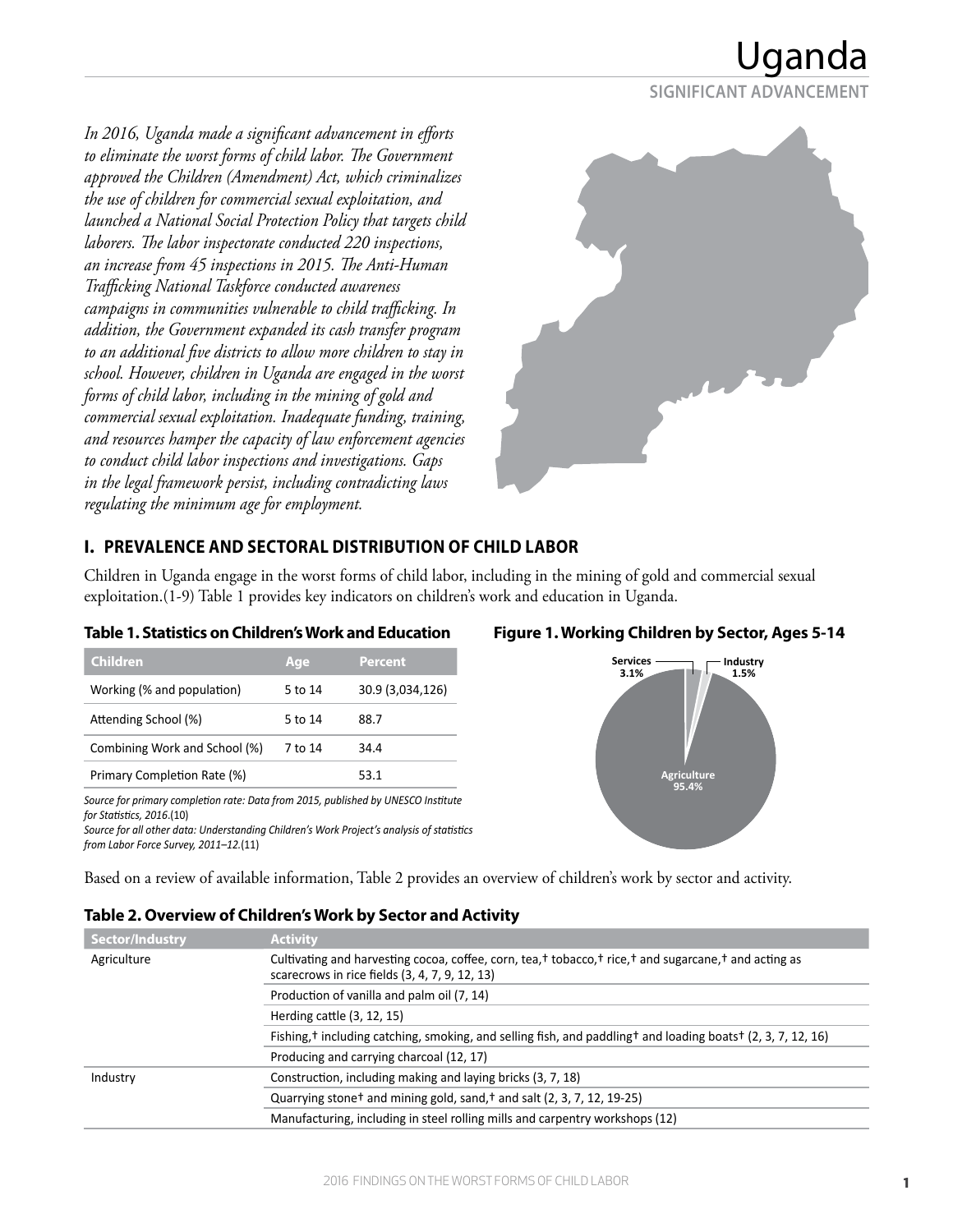Uganda **SIGNIFICANT ADVANCEMENT**

*In 2016, Uganda made a significant advancement in efforts to eliminate the worst forms of child labor. The Government approved the Children (Amendment) Act, which criminalizes the use of children for commercial sexual exploitation, and launched a National Social Protection Policy that targets child laborers. The labor inspectorate conducted 220 inspections, an increase from 45 inspections in 2015. The Anti-Human Trafficking National Taskforce conducted awareness campaigns in communities vulnerable to child trafficking. In addition, the Government expanded its cash transfer program to an additional five districts to allow more children to stay in school. However, children in Uganda are engaged in the worst forms of child labor, including in the mining of gold and commercial sexual exploitation. Inadequate funding, training, and resources hamper the capacity of law enforcement agencies to conduct child labor inspections and investigations. Gaps in the legal framework persist, including contradicting laws regulating the minimum age for employment.*



## **I. PREVALENCE AND SECTORAL DISTRIBUTION OF CHILD LABOR**

Children in Uganda engage in the worst forms of child labor, including in the mining of gold and commercial sexual exploitation.(1-9) Table 1 provides key indicators on children's work and education in Uganda.

#### **Table 1. Statistics on Children's Work and Education**

| <b>Children</b>               | Age     | <b>Percent</b>   |
|-------------------------------|---------|------------------|
| Working (% and population)    | 5 to 14 | 30.9 (3,034,126) |
| Attending School (%)          | 5 to 14 | 88.7             |
| Combining Work and School (%) | 7 to 14 | 34.4             |
| Primary Completion Rate (%)   |         | 53.1             |

*Source for primary completion rate: Data from 2015, published by UNESCO Institute for Statistics, 2016*.(10)

*Source for all other data: Understanding Children's Work Project's analysis of statistics from Labor Force Survey, 2011–12.*(11)

#### **Figure 1. Working Children by Sector, Ages 5-14**



Based on a review of available information, Table 2 provides an overview of children's work by sector and activity.

| Sector/Industry | <b>Activity</b>                                                                                                                                                                            |
|-----------------|--------------------------------------------------------------------------------------------------------------------------------------------------------------------------------------------|
| Agriculture     | Cultivating and harvesting cocoa, coffee, corn, tea, $\dagger$ tobacco, $\dagger$ rice, $\dagger$ and sugarcane, $\dagger$ and acting as<br>scarecrows in rice fields (3, 4, 7, 9, 12, 13) |
|                 | Production of vanilla and palm oil (7, 14)                                                                                                                                                 |
|                 | Herding cattle (3, 12, 15)                                                                                                                                                                 |
|                 | Fishing, † including catching, smoking, and selling fish, and paddling † and loading boats † (2, 3, 7, 12, 16)                                                                             |
|                 | Producing and carrying charcoal (12, 17)                                                                                                                                                   |
| Industry        | Construction, including making and laying bricks (3, 7, 18)                                                                                                                                |
|                 | Quarrying stone and mining gold, sand, t and salt (2, 3, 7, 12, 19-25)                                                                                                                     |
|                 | Manufacturing, including in steel rolling mills and carpentry workshops (12)                                                                                                               |

## **Table 2. Overview of Children's Work by Sector and Activity**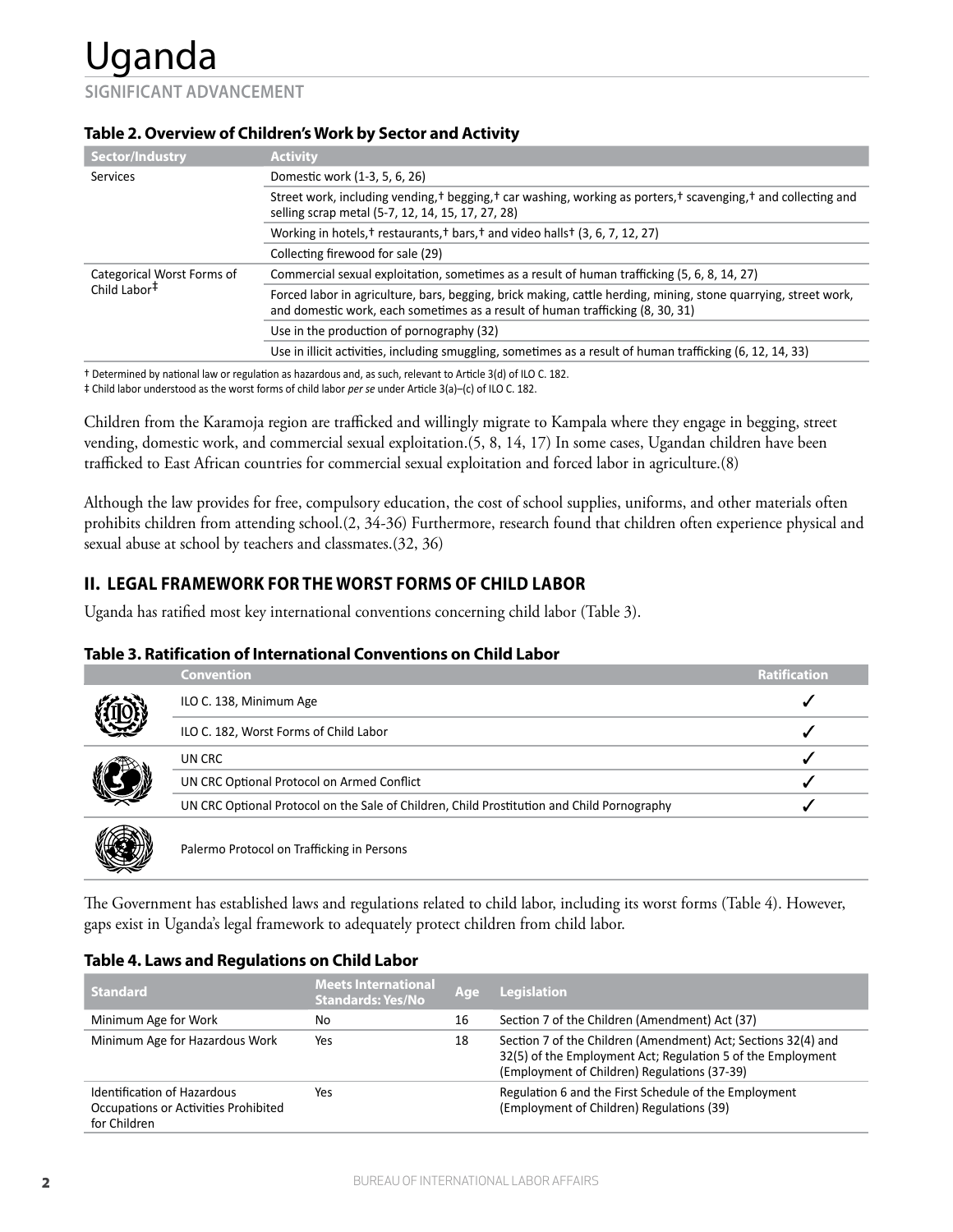## **Table 2. Overview of Children's Work by Sector and Activity**

| Sector/Industry            | <b>Activity</b>                                                                                                                                                                                   |
|----------------------------|---------------------------------------------------------------------------------------------------------------------------------------------------------------------------------------------------|
| <b>Services</b>            | Domestic work (1-3, 5, 6, 26)                                                                                                                                                                     |
|                            | Street work, including vending, + begging, + car washing, working as porters, + scavenging, + and collecting and<br>selling scrap metal (5-7, 12, 14, 15, 17, 27, 28)                             |
|                            | Working in hotels, † restaurants, † bars, † and video halls † (3, 6, 7, 12, 27)                                                                                                                   |
|                            | Collecting firewood for sale (29)                                                                                                                                                                 |
| Categorical Worst Forms of | Commercial sexual exploitation, sometimes as a result of human trafficking (5, 6, 8, 14, 27)                                                                                                      |
| Child Labor <sup>‡</sup>   | Forced labor in agriculture, bars, begging, brick making, cattle herding, mining, stone quarrying, street work,<br>and domestic work, each sometimes as a result of human trafficking (8, 30, 31) |
|                            | Use in the production of pornography (32)                                                                                                                                                         |
|                            | Use in illicit activities, including smuggling, sometimes as a result of human trafficking (6, 12, 14, 33)                                                                                        |

† Determined by national law or regulation as hazardous and, as such, relevant to Article 3(d) of ILO C. 182.

‡ Child labor understood as the worst forms of child labor *per se* under Article 3(a)–(c) of ILO C. 182.

Children from the Karamoja region are trafficked and willingly migrate to Kampala where they engage in begging, street vending, domestic work, and commercial sexual exploitation.(5, 8, 14, 17) In some cases, Ugandan children have been trafficked to East African countries for commercial sexual exploitation and forced labor in agriculture.(8)

Although the law provides for free, compulsory education, the cost of school supplies, uniforms, and other materials often prohibits children from attending school.(2, 34-36) Furthermore, research found that children often experience physical and sexual abuse at school by teachers and classmates.(32, 36)

## **II. LEGAL FRAMEWORK FOR THE WORST FORMS OF CHILD LABOR**

Uganda has ratified most key international conventions concerning child labor (Table 3).

#### **Table 3. Ratification of International Conventions on Child Labor**

|            | <b>Convention</b>                                                                          | <b>Ratification</b> |
|------------|--------------------------------------------------------------------------------------------|---------------------|
|            | ILO C. 138, Minimum Age                                                                    |                     |
|            | ILO C. 182, Worst Forms of Child Labor                                                     |                     |
|            | UN CRC                                                                                     |                     |
|            | UN CRC Optional Protocol on Armed Conflict                                                 |                     |
|            | UN CRC Optional Protocol on the Sale of Children, Child Prostitution and Child Pornography |                     |
| $\sqrt{2}$ |                                                                                            |                     |

Palermo Protocol on Trafficking in Persons

The Government has established laws and regulations related to child labor, including its worst forms (Table 4). However, gaps exist in Uganda's legal framework to adequately protect children from child labor.

#### **Table 4. Laws and Regulations on Child Labor**

| <b>Standard</b>                                                                     | <b>Meets International</b><br><u>  Stan</u> dards: Yes/No | Age | <b>Legislation</b>                                                                                                                                                           |
|-------------------------------------------------------------------------------------|-----------------------------------------------------------|-----|------------------------------------------------------------------------------------------------------------------------------------------------------------------------------|
| Minimum Age for Work                                                                | No                                                        | 16  | Section 7 of the Children (Amendment) Act (37)                                                                                                                               |
| Minimum Age for Hazardous Work                                                      | Yes                                                       | 18  | Section 7 of the Children (Amendment) Act; Sections 32(4) and<br>32(5) of the Employment Act; Regulation 5 of the Employment<br>(Employment of Children) Regulations (37-39) |
| Identification of Hazardous<br>Occupations or Activities Prohibited<br>for Children | Yes                                                       |     | Regulation 6 and the First Schedule of the Employment<br>(Employment of Children) Regulations (39)                                                                           |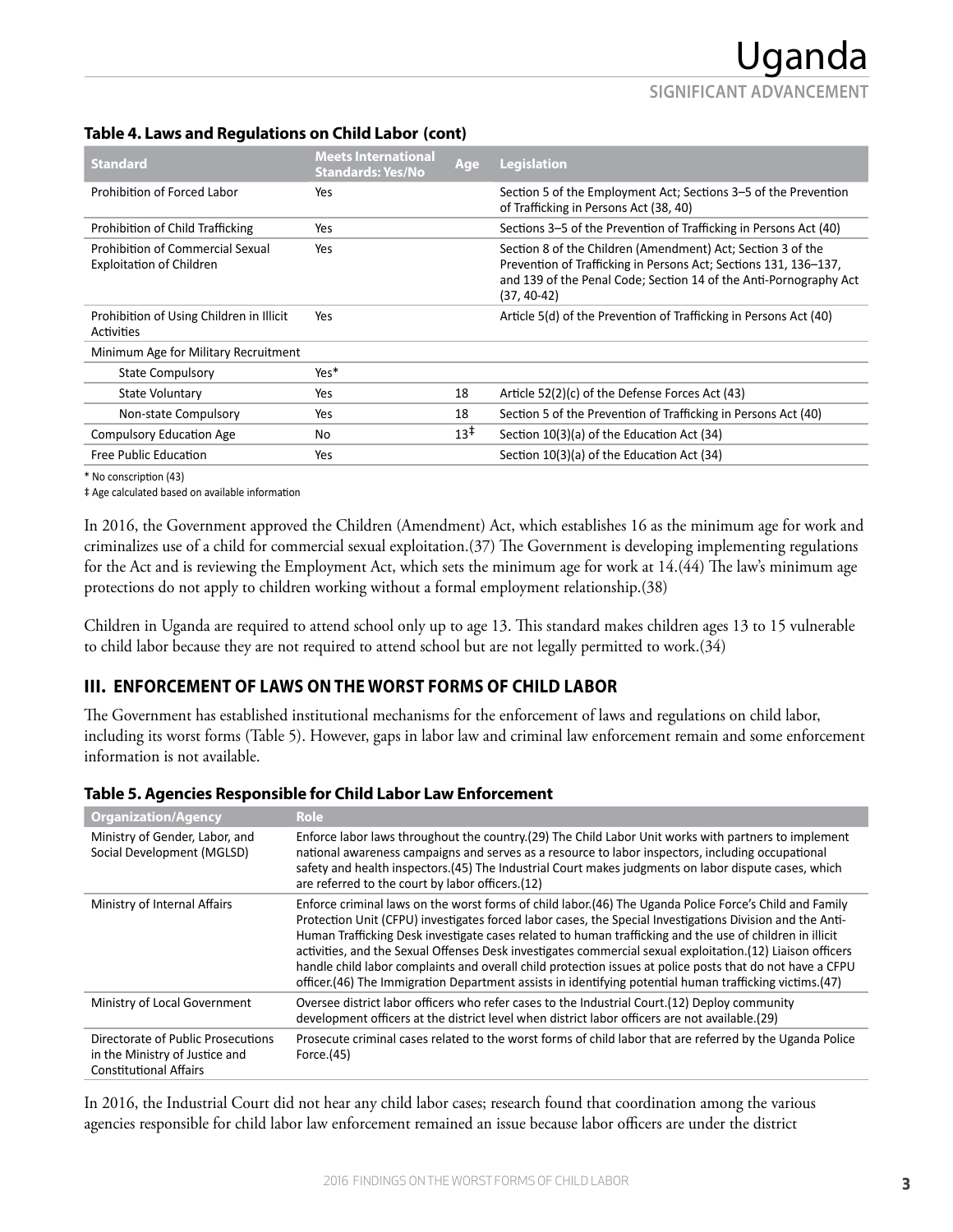#### **Table 4. Laws and Regulations on Child Labor (cont)**

| <b>Standard</b>                                                            | <b>Meets International</b><br><b>Standards: Yes/No</b> | Age             | <b>Legislation</b>                                                                                                                                                                                                    |
|----------------------------------------------------------------------------|--------------------------------------------------------|-----------------|-----------------------------------------------------------------------------------------------------------------------------------------------------------------------------------------------------------------------|
| Prohibition of Forced Labor                                                | Yes                                                    |                 | Section 5 of the Employment Act; Sections 3–5 of the Prevention<br>of Trafficking in Persons Act (38, 40)                                                                                                             |
| Prohibition of Child Trafficking                                           | Yes                                                    |                 | Sections 3–5 of the Prevention of Trafficking in Persons Act (40)                                                                                                                                                     |
| <b>Prohibition of Commercial Sexual</b><br><b>Exploitation of Children</b> | Yes                                                    |                 | Section 8 of the Children (Amendment) Act; Section 3 of the<br>Prevention of Trafficking in Persons Act; Sections 131, 136–137,<br>and 139 of the Penal Code; Section 14 of the Anti-Pornography Act<br>$(37, 40-42)$ |
| Prohibition of Using Children in Illicit<br>Activities                     | Yes                                                    |                 | Article 5(d) of the Prevention of Trafficking in Persons Act (40)                                                                                                                                                     |
| Minimum Age for Military Recruitment                                       |                                                        |                 |                                                                                                                                                                                                                       |
| <b>State Compulsory</b>                                                    | Yes*                                                   |                 |                                                                                                                                                                                                                       |
| State Voluntary                                                            | Yes                                                    | 18              | Article 52(2)(c) of the Defense Forces Act (43)                                                                                                                                                                       |
| Non-state Compulsory                                                       | Yes                                                    | 18              | Section 5 of the Prevention of Trafficking in Persons Act (40)                                                                                                                                                        |
| <b>Compulsory Education Age</b>                                            | No                                                     | $13^{\ddagger}$ | Section 10(3)(a) of the Education Act (34)                                                                                                                                                                            |
| Free Public Education                                                      | Yes                                                    |                 | Section 10(3)(a) of the Education Act (34)                                                                                                                                                                            |

\* No conscription (43)

‡ Age calculated based on available information

In 2016, the Government approved the Children (Amendment) Act, which establishes 16 as the minimum age for work and criminalizes use of a child for commercial sexual exploitation.(37) The Government is developing implementing regulations for the Act and is reviewing the Employment Act, which sets the minimum age for work at 14.(44) The law's minimum age protections do not apply to children working without a formal employment relationship.(38)

Children in Uganda are required to attend school only up to age 13. This standard makes children ages 13 to 15 vulnerable to child labor because they are not required to attend school but are not legally permitted to work.(34)

## **III. ENFORCEMENT OF LAWS ON THE WORST FORMS OF CHILD LABOR**

The Government has established institutional mechanisms for the enforcement of laws and regulations on child labor, including its worst forms (Table 5). However, gaps in labor law and criminal law enforcement remain and some enforcement information is not available.

#### **Table 5. Agencies Responsible for Child Labor Law Enforcement**

| <b>Organization/Agency</b>                                                                            | <b>Role</b>                                                                                                                                                                                                                                                                                                                                                                                                                                                                                                                                                                                                                                                              |
|-------------------------------------------------------------------------------------------------------|--------------------------------------------------------------------------------------------------------------------------------------------------------------------------------------------------------------------------------------------------------------------------------------------------------------------------------------------------------------------------------------------------------------------------------------------------------------------------------------------------------------------------------------------------------------------------------------------------------------------------------------------------------------------------|
| Ministry of Gender, Labor, and<br>Social Development (MGLSD)                                          | Enforce labor laws throughout the country.(29) The Child Labor Unit works with partners to implement<br>national awareness campaigns and serves as a resource to labor inspectors, including occupational<br>safety and health inspectors.(45) The Industrial Court makes judgments on labor dispute cases, which<br>are referred to the court by labor officers.(12)                                                                                                                                                                                                                                                                                                    |
| Ministry of Internal Affairs                                                                          | Enforce criminal laws on the worst forms of child labor. (46) The Uganda Police Force's Child and Family<br>Protection Unit (CFPU) investigates forced labor cases, the Special Investigations Division and the Anti-<br>Human Trafficking Desk investigate cases related to human trafficking and the use of children in illicit<br>activities, and the Sexual Offenses Desk investigates commercial sexual exploitation. (12) Liaison officers<br>handle child labor complaints and overall child protection issues at police posts that do not have a CFPU<br>officer.(46) The Immigration Department assists in identifying potential human trafficking victims.(47) |
| Ministry of Local Government                                                                          | Oversee district labor officers who refer cases to the Industrial Court.(12) Deploy community<br>development officers at the district level when district labor officers are not available. (29)                                                                                                                                                                                                                                                                                                                                                                                                                                                                         |
| Directorate of Public Prosecutions<br>in the Ministry of Justice and<br><b>Constitutional Affairs</b> | Prosecute criminal cases related to the worst forms of child labor that are referred by the Uganda Police<br>Force. $(45)$                                                                                                                                                                                                                                                                                                                                                                                                                                                                                                                                               |

In 2016, the Industrial Court did not hear any child labor cases; research found that coordination among the various agencies responsible for child labor law enforcement remained an issue because labor officers are under the district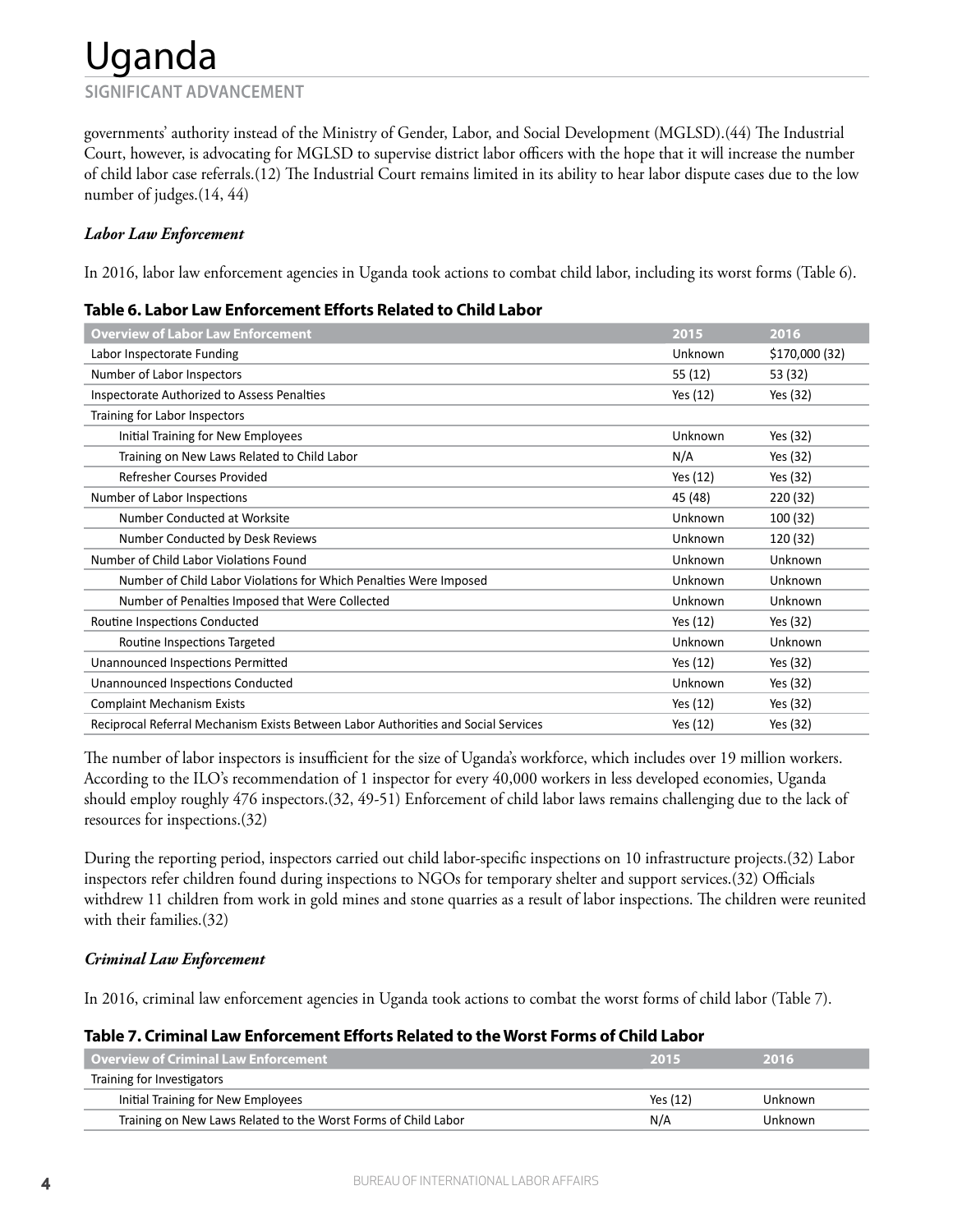# Uganda

## **SIGNIFICANT ADVANCEMENT**

governments' authority instead of the Ministry of Gender, Labor, and Social Development (MGLSD).(44) The Industrial Court, however, is advocating for MGLSD to supervise district labor officers with the hope that it will increase the number of child labor case referrals.(12) The Industrial Court remains limited in its ability to hear labor dispute cases due to the low number of judges.(14, 44)

#### *Labor Law Enforcement*

In 2016, labor law enforcement agencies in Uganda took actions to combat child labor, including its worst forms (Table 6).

| וטאוכ ט. בטאטו בטאי בוווטונכוווכות בווטו גז וזכוטנכט גט כווווט בטאטו               |                |                |
|------------------------------------------------------------------------------------|----------------|----------------|
| <b>Overview of Labor Law Enforcement</b>                                           | 2015           | 2016           |
| Labor Inspectorate Funding                                                         | Unknown        | \$170,000 (32) |
| Number of Labor Inspectors                                                         | 55 (12)        | 53 (32)        |
| Inspectorate Authorized to Assess Penalties                                        | Yes (12)       | Yes (32)       |
| Training for Labor Inspectors                                                      |                |                |
| Initial Training for New Employees                                                 | Unknown        | Yes (32)       |
| Training on New Laws Related to Child Labor                                        | N/A            | Yes (32)       |
| Refresher Courses Provided                                                         | Yes (12)       | Yes (32)       |
| Number of Labor Inspections                                                        | 45 (48)        | 220 (32)       |
| Number Conducted at Worksite                                                       | Unknown        | 100 (32)       |
| Number Conducted by Desk Reviews                                                   | Unknown        | 120 (32)       |
| Number of Child Labor Violations Found                                             | Unknown        | <b>Unknown</b> |
| Number of Child Labor Violations for Which Penalties Were Imposed                  | Unknown        | Unknown        |
| Number of Penalties Imposed that Were Collected                                    | Unknown        | <b>Unknown</b> |
| Routine Inspections Conducted                                                      | Yes (12)       | Yes (32)       |
| Routine Inspections Targeted                                                       | Unknown        | <b>Unknown</b> |
| <b>Unannounced Inspections Permitted</b>                                           | Yes (12)       | Yes (32)       |
| <b>Unannounced Inspections Conducted</b>                                           | <b>Unknown</b> | Yes (32)       |
| <b>Complaint Mechanism Exists</b>                                                  | Yes (12)       | Yes (32)       |
| Reciprocal Referral Mechanism Exists Between Labor Authorities and Social Services | Yes (12)       | Yes (32)       |
|                                                                                    |                |                |

#### **Table 6. Labor Law Enforcement Efforts Related to Child Labor**

The number of labor inspectors is insufficient for the size of Uganda's workforce, which includes over 19 million workers. According to the ILO's recommendation of 1 inspector for every 40,000 workers in less developed economies, Uganda should employ roughly 476 inspectors.(32, 49-51) Enforcement of child labor laws remains challenging due to the lack of resources for inspections.(32)

During the reporting period, inspectors carried out child labor-specific inspections on 10 infrastructure projects.(32) Labor inspectors refer children found during inspections to NGOs for temporary shelter and support services.(32) Officials withdrew 11 children from work in gold mines and stone quarries as a result of labor inspections. The children were reunited with their families.(32)

## *Criminal Law Enforcement*

In 2016, criminal law enforcement agencies in Uganda took actions to combat the worst forms of child labor (Table 7).

#### **Table 7. Criminal Law Enforcement Efforts Related to the Worst Forms of Child Labor**

| Overview of Criminal Law Enforcement                           | 2015     | 2016    |
|----------------------------------------------------------------|----------|---------|
| Training for Investigators                                     |          |         |
| Initial Training for New Employees                             | Yes (12) | Unknown |
| Training on New Laws Related to the Worst Forms of Child Labor | N/A      | Unknown |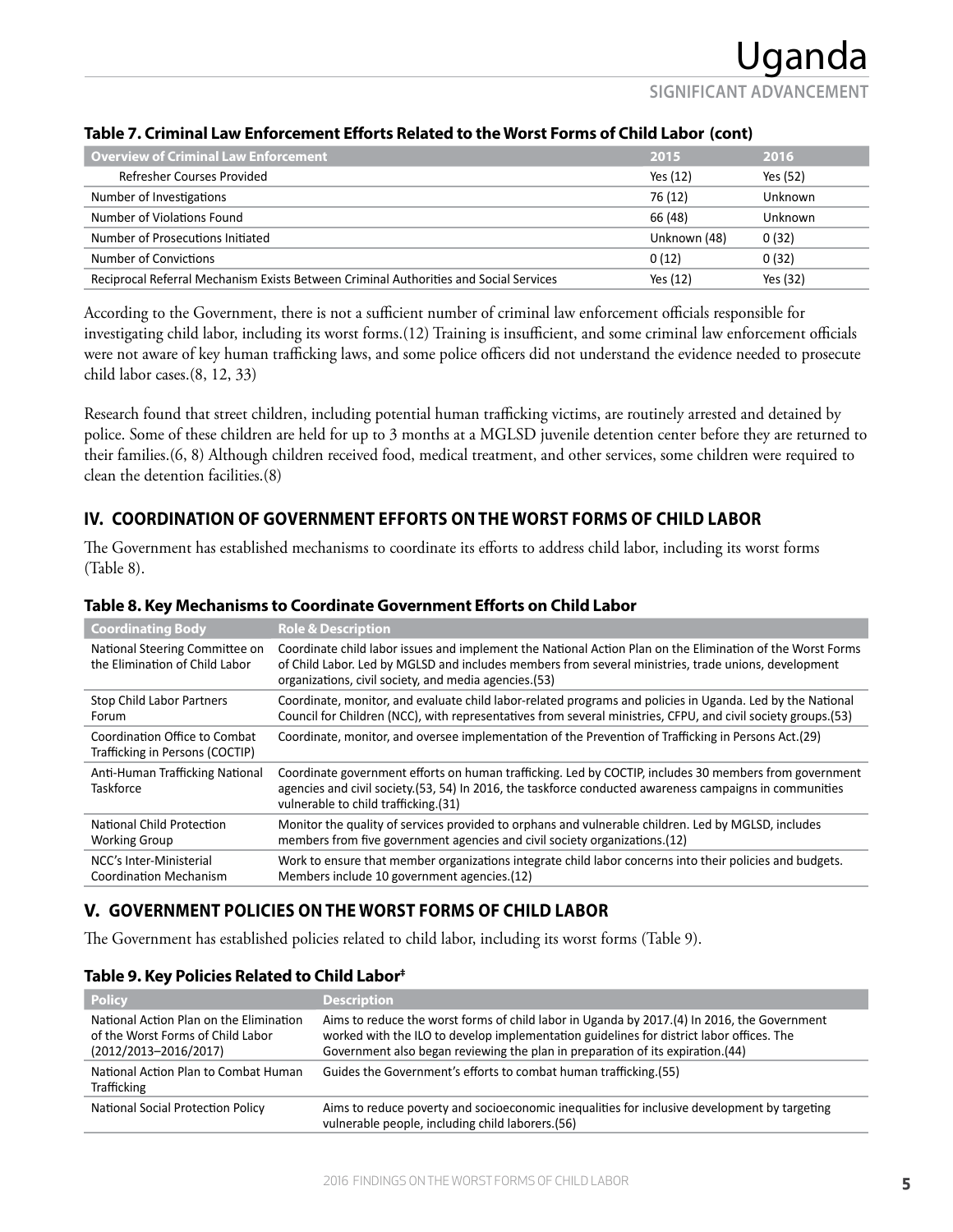**SIGNIFICANT ADVANCEMENT**

#### **Table 7. Criminal Law Enforcement Efforts Related to the Worst Forms of Child Labor (cont)**

| Overview of Criminal Law Enforcement                                                  | 2015         | 2016     |
|---------------------------------------------------------------------------------------|--------------|----------|
| Refresher Courses Provided                                                            | Yes (12)     | Yes (52) |
| Number of Investigations                                                              | 76 (12)      | Unknown  |
| Number of Violations Found                                                            | 66 (48)      | Unknown  |
| Number of Prosecutions Initiated                                                      | Unknown (48) | 0(32)    |
| Number of Convictions                                                                 | 0(12)        | 0(32)    |
| Reciprocal Referral Mechanism Exists Between Criminal Authorities and Social Services | Yes (12)     | Yes (32) |

According to the Government, there is not a sufficient number of criminal law enforcement officials responsible for investigating child labor, including its worst forms.(12) Training is insufficient, and some criminal law enforcement officials were not aware of key human trafficking laws, and some police officers did not understand the evidence needed to prosecute child labor cases.(8, 12, 33)

Research found that street children, including potential human trafficking victims, are routinely arrested and detained by police. Some of these children are held for up to 3 months at a MGLSD juvenile detention center before they are returned to their families.(6, 8) Although children received food, medical treatment, and other services, some children were required to clean the detention facilities.(8)

## **IV. COORDINATION OF GOVERNMENT EFFORTS ON THE WORST FORMS OF CHILD LABOR**

The Government has established mechanisms to coordinate its efforts to address child labor, including its worst forms (Table 8).

| <b>Coordinating Body</b>                                         | <b>Role &amp; Description</b>                                                                                                                                                                                                                                                |
|------------------------------------------------------------------|------------------------------------------------------------------------------------------------------------------------------------------------------------------------------------------------------------------------------------------------------------------------------|
| National Steering Committee on<br>the Elimination of Child Labor | Coordinate child labor issues and implement the National Action Plan on the Elimination of the Worst Forms<br>of Child Labor. Led by MGLSD and includes members from several ministries, trade unions, development<br>organizations, civil society, and media agencies. (53) |
| <b>Stop Child Labor Partners</b><br>Forum                        | Coordinate, monitor, and evaluate child labor-related programs and policies in Uganda. Led by the National<br>Council for Children (NCC), with representatives from several ministries, CFPU, and civil society groups. (53)                                                 |
| Coordination Office to Combat<br>Trafficking in Persons (COCTIP) | Coordinate, monitor, and oversee implementation of the Prevention of Trafficking in Persons Act. (29)                                                                                                                                                                        |
| Anti-Human Trafficking National<br>Taskforce                     | Coordinate government efforts on human trafficking. Led by COCTIP, includes 30 members from government<br>agencies and civil society. (53, 54) In 2016, the taskforce conducted awareness campaigns in communities<br>vulnerable to child trafficking.(31)                   |
| National Child Protection<br><b>Working Group</b>                | Monitor the quality of services provided to orphans and vulnerable children. Led by MGLSD, includes<br>members from five government agencies and civil society organizations.(12)                                                                                            |
| NCC's Inter-Ministerial<br><b>Coordination Mechanism</b>         | Work to ensure that member organizations integrate child labor concerns into their policies and budgets.<br>Members include 10 government agencies.(12)                                                                                                                      |

#### **Table 8. Key Mechanisms to Coordinate Government Efforts on Child Labor**

## **V. GOVERNMENT POLICIES ON THE WORST FORMS OF CHILD LABOR**

The Government has established policies related to child labor, including its worst forms (Table 9).

#### **Table 9. Key Policies Related to Child Labor‡**

| <b>Policy</b>                                                                                             | <b>Description</b>                                                                                                                                                                                                                                                        |
|-----------------------------------------------------------------------------------------------------------|---------------------------------------------------------------------------------------------------------------------------------------------------------------------------------------------------------------------------------------------------------------------------|
| National Action Plan on the Elimination<br>of the Worst Forms of Child Labor<br>$(2012/2013 - 2016/2017)$ | Aims to reduce the worst forms of child labor in Uganda by 2017.(4) In 2016, the Government<br>worked with the ILO to develop implementation guidelines for district labor offices. The<br>Government also began reviewing the plan in preparation of its expiration.(44) |
| National Action Plan to Combat Human<br><b>Trafficking</b>                                                | Guides the Government's efforts to combat human trafficking. (55)                                                                                                                                                                                                         |
| National Social Protection Policy                                                                         | Aims to reduce poverty and socioeconomic inequalities for inclusive development by targeting<br>vulnerable people, including child laborers.(56)                                                                                                                          |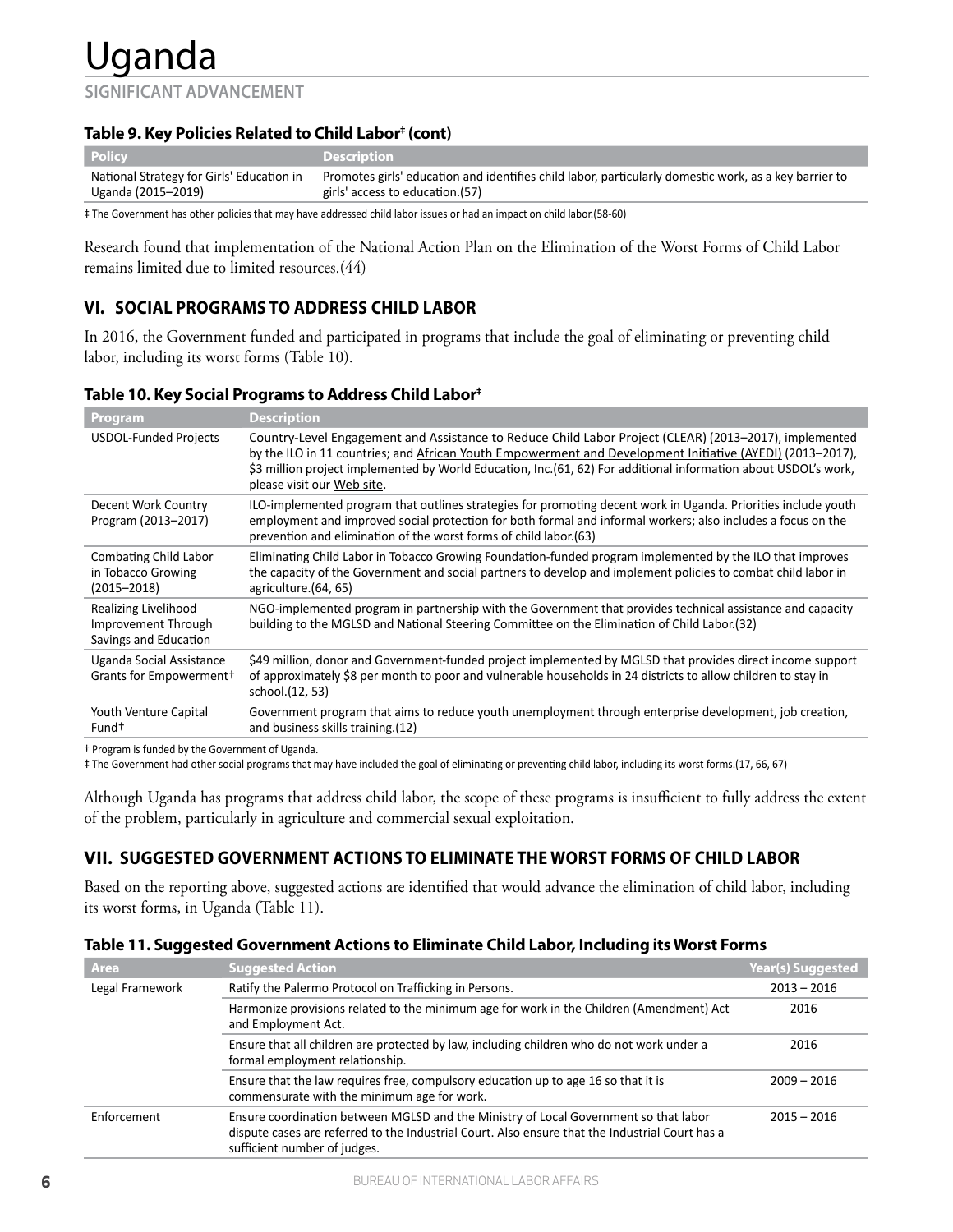## **Table 9. Key Policies Related to Child Labor‡ (cont)**

| <b>Policy</b>                                                   | Description                                                                                                                              |
|-----------------------------------------------------------------|------------------------------------------------------------------------------------------------------------------------------------------|
| National Strategy for Girls' Education in<br>Uganda (2015–2019) | Promotes girls' education and identifies child labor, particularly domestic work, as a key barrier to<br>girls' access to education.(57) |
| $\sim$ $\sim$                                                   |                                                                                                                                          |

‡ The Government has other policies that may have addressed child labor issues or had an impact on child labor.(58-60)

Research found that implementation of the National Action Plan on the Elimination of the Worst Forms of Child Labor remains limited due to limited resources.(44)

## **VI. SOCIAL PROGRAMS TO ADDRESS CHILD LABOR**

In 2016, the Government funded and participated in programs that include the goal of eliminating or preventing child labor, including its worst forms (Table 10).

### **Table 10. Key Social Programs to Address Child Labor‡**

| <b>Program</b>                                                        | <b>Description</b>                                                                                                                                                                                                                                                                                                                                                    |
|-----------------------------------------------------------------------|-----------------------------------------------------------------------------------------------------------------------------------------------------------------------------------------------------------------------------------------------------------------------------------------------------------------------------------------------------------------------|
| <b>USDOL-Funded Projects</b>                                          | Country-Level Engagement and Assistance to Reduce Child Labor Project (CLEAR) (2013–2017), implemented<br>by the ILO in 11 countries; and African Youth Empowerment and Development Initiative (AYEDI) (2013–2017),<br>\$3 million project implemented by World Education, Inc. (61, 62) For additional information about USDOL's work,<br>please visit our Web site. |
| Decent Work Country<br>Program (2013-2017)                            | ILO-implemented program that outlines strategies for promoting decent work in Uganda. Priorities include youth<br>employment and improved social protection for both formal and informal workers; also includes a focus on the<br>prevention and elimination of the worst forms of child labor.(63)                                                                   |
| <b>Combating Child Labor</b><br>in Tobacco Growing<br>$(2015 - 2018)$ | Eliminating Child Labor in Tobacco Growing Foundation-funded program implemented by the ILO that improves<br>the capacity of the Government and social partners to develop and implement policies to combat child labor in<br>agriculture.(64, 65)                                                                                                                    |
| Realizing Livelihood<br>Improvement Through<br>Savings and Education  | NGO-implemented program in partnership with the Government that provides technical assistance and capacity<br>building to the MGLSD and National Steering Committee on the Elimination of Child Labor. (32)                                                                                                                                                           |
| Uganda Social Assistance<br>Grants for Empowerment+                   | \$49 million, donor and Government-funded project implemented by MGLSD that provides direct income support<br>of approximately \$8 per month to poor and vulnerable households in 24 districts to allow children to stay in<br>school.(12, 53)                                                                                                                        |
| Youth Venture Capital<br>Fund <sup>+</sup>                            | Government program that aims to reduce youth unemployment through enterprise development, job creation,<br>and business skills training.(12)                                                                                                                                                                                                                          |

† Program is funded by the Government of Uganda.

‡ The Government had other social programs that may have included the goal of eliminating or preventing child labor, including its worst forms.(17, 66, 67)

Although Uganda has programs that address child labor, the scope of these programs is insufficient to fully address the extent of the problem, particularly in agriculture and commercial sexual exploitation.

## **VII. SUGGESTED GOVERNMENT ACTIONS TO ELIMINATE THE WORST FORMS OF CHILD LABOR**

Based on the reporting above, suggested actions are identified that would advance the elimination of child labor, including its worst forms, in Uganda (Table 11).

#### **Table 11. Suggested Government Actions to Eliminate Child Labor, Including its Worst Forms**

| <b>Area</b>     | <b>Suggested Action</b>                                                                                                                                                                                                 | <b>Year(s) Suggested</b> |
|-----------------|-------------------------------------------------------------------------------------------------------------------------------------------------------------------------------------------------------------------------|--------------------------|
| Legal Framework | Ratify the Palermo Protocol on Trafficking in Persons.                                                                                                                                                                  | $2013 - 2016$            |
|                 | Harmonize provisions related to the minimum age for work in the Children (Amendment) Act<br>and Employment Act.                                                                                                         | 2016                     |
|                 | Ensure that all children are protected by law, including children who do not work under a<br>formal employment relationship.                                                                                            | 2016                     |
|                 | Ensure that the law requires free, compulsory education up to age 16 so that it is<br>commensurate with the minimum age for work.                                                                                       | $2009 - 2016$            |
| Enforcement     | Ensure coordination between MGLSD and the Ministry of Local Government so that labor<br>dispute cases are referred to the Industrial Court. Also ensure that the Industrial Court has a<br>sufficient number of judges. | $2015 - 2016$            |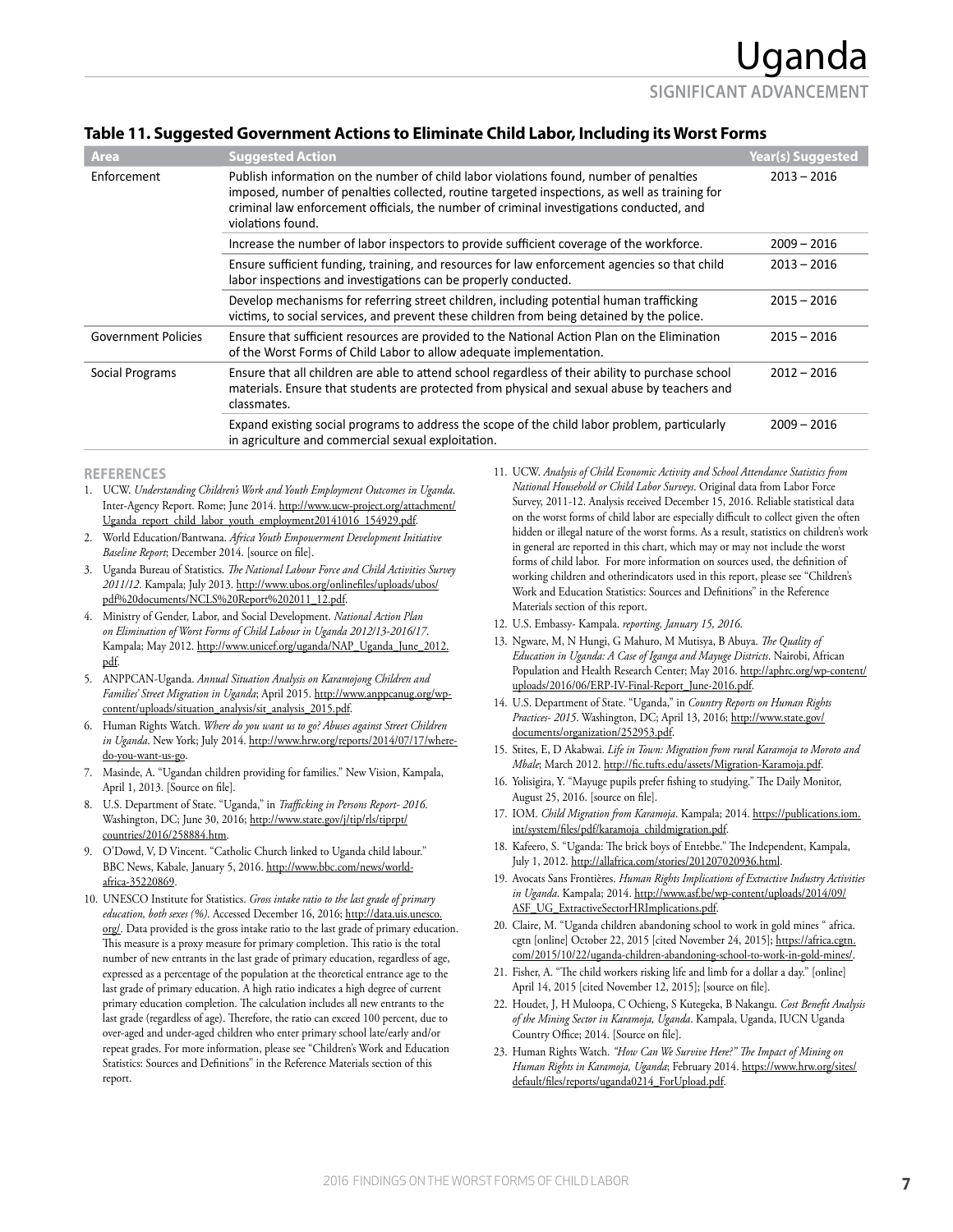**SIGNIFICANT ADVANCEMENT**

#### **Table 11. Suggested Government Actions to Eliminate Child Labor, Including its Worst Forms**

| <b>Area</b>                | <b>Suggested Action</b>                                                                                                                                                                                                                                                                                  | <b>Year(s) Suggested</b> |
|----------------------------|----------------------------------------------------------------------------------------------------------------------------------------------------------------------------------------------------------------------------------------------------------------------------------------------------------|--------------------------|
| Enforcement                | Publish information on the number of child labor violations found, number of penalties<br>imposed, number of penalties collected, routine targeted inspections, as well as training for<br>criminal law enforcement officials, the number of criminal investigations conducted, and<br>violations found. | $2013 - 2016$            |
|                            | Increase the number of labor inspectors to provide sufficient coverage of the workforce.                                                                                                                                                                                                                 | $2009 - 2016$            |
|                            | Ensure sufficient funding, training, and resources for law enforcement agencies so that child<br>labor inspections and investigations can be properly conducted.                                                                                                                                         | $2013 - 2016$            |
|                            | Develop mechanisms for referring street children, including potential human trafficking<br>victims, to social services, and prevent these children from being detained by the police.                                                                                                                    | $2015 - 2016$            |
| <b>Government Policies</b> | Ensure that sufficient resources are provided to the National Action Plan on the Elimination<br>of the Worst Forms of Child Labor to allow adequate implementation.                                                                                                                                      | $2015 - 2016$            |
| Social Programs            | Ensure that all children are able to attend school regardless of their ability to purchase school<br>materials. Ensure that students are protected from physical and sexual abuse by teachers and<br>classmates.                                                                                         | $2012 - 2016$            |
|                            | Expand existing social programs to address the scope of the child labor problem, particularly<br>in agriculture and commercial sexual exploitation.                                                                                                                                                      | $2009 - 2016$            |

#### **REFERENCES**

- 1. UCW. *Understanding Children's Work and Youth Employment Outcomes in Uganda*. Inter-Agency Report. Rome; June 2014. http://www.ucw-project.org/attachment/ Uganda\_report\_child\_labor\_youth\_employment20141016\_154929.pdf.
- 2. World Education/Bantwana. *Africa Youth Empowerment Development Initiative Baseline Report*; December 2014. [source on file].
- 3. Uganda Bureau of Statistics. *The National Labour Force and Child Activities Survey 2011/12*. Kampala; July 2013. http://www.ubos.org/onlinefiles/uploads/ubos/ pdf%20documents/NCLS%20Report%202011\_12.pdf.
- 4. Ministry of Gender, Labor, and Social Development. *National Action Plan on Elimination of Worst Forms of Child Labour in Uganda 2012/13-2016/17*. Kampala; May 2012. http://www.unicef.org/uganda/NAP\_Uganda\_June\_2012. pdf.
- 5. ANPPCAN-Uganda. *Annual Situation Analysis on Karamojong Children and Families' Street Migration in Uganda*; April 2015. http://www.anppcanug.org/wpcontent/uploads/situation\_analysis/sit\_analysis\_2015.pdf.
- 6. Human Rights Watch. *Where do you want us to go? Abuses against Street Children in Uganda*. New York; July 2014. http://www.hrw.org/reports/2014/07/17/wheredo-you-want-us-go.
- 7. Masinde, A. "Ugandan children providing for families." New Vision, Kampala, April 1, 2013. [Source on file].
- 8. U.S. Department of State. "Uganda," in *Trafficking in Persons Report- 2016*. Washington, DC; June 30, 2016; http://www.state.gov/j/tip/rls/tiprpt/ countries/2016/258884.htm.
- 9. O'Dowd, V, D Vincent. "Catholic Church linked to Uganda child labour." BBC News, Kabale, January 5, 2016. http://www.bbc.com/news/worldafrica-35220869.
- 10. UNESCO Institute for Statistics. *Gross intake ratio to the last grade of primary education, both sexes (%)*. Accessed December 16, 2016; http://data.uis.unesco. org/. Data provided is the gross intake ratio to the last grade of primary education. This measure is a proxy measure for primary completion. This ratio is the total number of new entrants in the last grade of primary education, regardless of age, expressed as a percentage of the population at the theoretical entrance age to the last grade of primary education. A high ratio indicates a high degree of current primary education completion. The calculation includes all new entrants to the last grade (regardless of age). Therefore, the ratio can exceed 100 percent, due to over-aged and under-aged children who enter primary school late/early and/or repeat grades. For more information, please see "Children's Work and Education Statistics: Sources and Definitions" in the Reference Materials section of this report.
- 11. UCW. *Analysis of Child Economic Activity and School Attendance Statistics from National Household or Child Labor Surveys*. Original data from Labor Force Survey, 2011-12. Analysis received December 15, 2016. Reliable statistical data on the worst forms of child labor are especially difficult to collect given the often hidden or illegal nature of the worst forms. As a result, statistics on children's work in general are reported in this chart, which may or may not include the worst forms of child labor. For more information on sources used, the definition of working children and otherindicators used in this report, please see "Children's Work and Education Statistics: Sources and Definitions" in the Reference Materials section of this report.
- 12. U.S. Embassy- Kampala. *reporting, January 15, 2016*.
- 13. Ngware, M, N Hungi, G Mahuro, M Mutisya, B Abuya. *The Quality of Education in Uganda: A Case of Iganga and Mayuge Districts*. Nairobi, African Population and Health Research Center; May 2016. http://aphrc.org/wp-content/ uploads/2016/06/ERP-IV-Final-Report\_June-2016.pdf.
- 14. U.S. Department of State. "Uganda," in *Country Reports on Human Rights Practices- 2015*. Washington, DC; April 13, 2016; http://www.state.gov/ documents/organization/252953.pdf.
- 15. Stites, E, D Akabwai. *Life in Town: Migration from rural Karamoja to Moroto and Mbale*; March 2012. http://fic.tufts.edu/assets/Migration-Karamoja.pdf.
- 16. Yolisigira, Y. "Mayuge pupils prefer fishing to studying." The Daily Monitor, August 25, 2016. [source on file].
- 17. IOM. *Child Migration from Karamoja*. Kampala; 2014. https://publications.iom. int/system/files/pdf/karamoja\_childmigration.pdf.
- 18. Kafeero, S. "Uganda: The brick boys of Entebbe." The Independent, Kampala, July 1, 2012. http://allafrica.com/stories/201207020936.html.
- 19. Avocats Sans Frontières. *Human Rights Implications of Extractive Industry Activities in Uganda*. Kampala; 2014. http://www.asf.be/wp-content/uploads/2014/09/ ASF\_UG\_ExtractiveSectorHRImplications.pdf.
- 20. Claire, M. "Uganda children abandoning school to work in gold mines " africa. cgtn [online] October 22, 2015 [cited November 24, 2015]; https://africa.cgtn. com/2015/10/22/uganda-children-abandoning-school-to-work-in-gold-mines/.
- 21. Fisher, A. "The child workers risking life and limb for a dollar a day." [online] April 14, 2015 [cited November 12, 2015]; [source on file].
- 22. Houdet, J, H Muloopa, C Ochieng, S Kutegeka, B Nakangu. *Cost Benefit Analysis of the Mining Sector in Karamoja, Uganda*. Kampala, Uganda, IUCN Uganda Country Office; 2014. [Source on file].
- 23. Human Rights Watch. *"How Can We Survive Here?" The Impact of Mining on Human Rights in Karamoja, Uganda*; February 2014. https://www.hrw.org/sites/ default/files/reports/uganda0214\_ForUpload.pdf.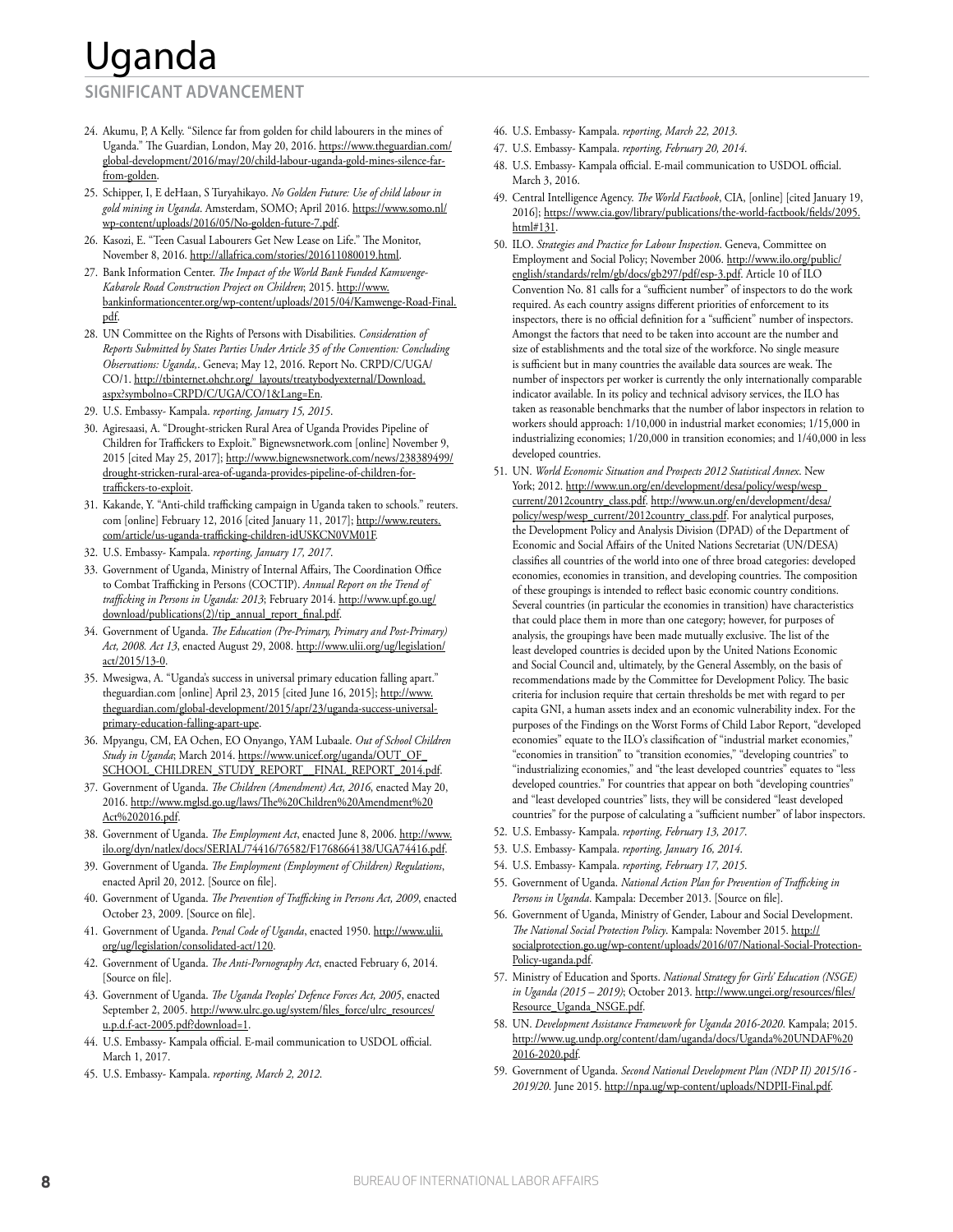# Uganda

### **SIGNIFICANT ADVANCEMENT**

- 24. Akumu, P, A Kelly. "Silence far from golden for child labourers in the mines of Uganda." The Guardian, London, May 20, 2016. https://www.theguardian.com/ global-development/2016/may/20/child-labour-uganda-gold-mines-silence-farfrom-golden.
- 25. Schipper, I, E deHaan, S Turyahikayo. *No Golden Future: Use of child labour in gold mining in Uganda*. Amsterdam, SOMO; April 2016. https://www.somo.nl/ wp-content/uploads/2016/05/No-golden-future-7.pdf.
- 26. Kasozi, E. "Teen Casual Labourers Get New Lease on Life." The Monitor, November 8, 2016. http://allafrica.com/stories/201611080019.html.
- 27. Bank Information Center. *The Impact of the World Bank Funded Kamwenge-Kabarole Road Construction Project on Children*; 2015. http://www. bankinformationcenter.org/wp-content/uploads/2015/04/Kamwenge-Road-Final. pdf.
- 28. UN Committee on the Rights of Persons with Disabilities. *Consideration of Reports Submitted by States Parties Under Article 35 of the Convention: Concluding Observations: Uganda,*. Geneva; May 12, 2016. Report No. CRPD/C/UGA/ CO/1. http://tbinternet.ohchr.org/\_layouts/treatybodyexternal/Download. aspx?symbolno=CRPD/C/UGA/CO/1&Lang=En.
- 29. U.S. Embassy- Kampala. *reporting, January 15, 2015*.
- 30. Agiresaasi, A. "Drought-stricken Rural Area of Uganda Provides Pipeline of Children for Traffickers to Exploit." Bignewsnetwork.com [online] November 9, 2015 [cited May 25, 2017]; http://www.bignewsnetwork.com/news/238389499/ drought-stricken-rural-area-of-uganda-provides-pipeline-of-children-fortraffickers-to-exploit.
- 31. Kakande, Y. "Anti-child trafficking campaign in Uganda taken to schools." reuters. com [online] February 12, 2016 [cited January 11, 2017]; http://www.reuters. com/article/us-uganda-trafficking-children-idUSKCN0VM01F.
- 32. U.S. Embassy- Kampala. *reporting, January 17, 2017*.
- 33. Government of Uganda, Ministry of Internal Affairs, The Coordination Office to Combat Trafficking in Persons (COCTIP). *Annual Report on the Trend of trafficking in Persons in Uganda: 2013*; February 2014. http://www.upf.go.ug/ download/publications(2)/tip\_annual\_report\_final.pdf.
- 34. Government of Uganda. *The Education (Pre-Primary, Primary and Post-Primary) Act, 2008. Act 13*, enacted August 29, 2008. http://www.ulii.org/ug/legislation/ act/2015/13-0.
- 35. Mwesigwa, A. "Uganda's success in universal primary education falling apart." theguardian.com [online] April 23, 2015 [cited June 16, 2015]; http://www. theguardian.com/global-development/2015/apr/23/uganda-success-universalprimary-education-falling-apart-upe.
- 36. Mpyangu, CM, EA Ochen, EO Onyango, YAM Lubaale. *Out of School Children Study in Uganda*; March 2014. https://www.unicef.org/uganda/OUT\_OF\_ SCHOOL\_CHILDREN\_STUDY\_REPORT\_FINAL\_REPORT\_2014.pdf.
- 37. Government of Uganda. *The Children (Amendment) Act, 2016*, enacted May 20, 2016. http://www.mglsd.go.ug/laws/The%20Children%20Amendment%20 Act%202016.pdf.
- 38. Government of Uganda. *The Employment Act*, enacted June 8, 2006. http://www. ilo.org/dyn/natlex/docs/SERIAL/74416/76582/F1768664138/UGA74416.pdf.
- 39. Government of Uganda. *The Employment (Employment of Children) Regulations*, enacted April 20, 2012. [Source on file].
- 40. Government of Uganda. *The Prevention of Trafficking in Persons Act, 2009*, enacted October 23, 2009. [Source on file].
- 41. Government of Uganda. *Penal Code of Uganda*, enacted 1950. http://www.ulii. org/ug/legislation/consolidated-act/120.
- 42. Government of Uganda. *The Anti-Pornography Act*, enacted February 6, 2014. [Source on file].
- 43. Government of Uganda. *The Uganda Peoples' Defence Forces Act, 2005*, enacted September 2, 2005. http://www.ulrc.go.ug/system/files\_force/ulrc\_resources/ u.p.d.f-act-2005.pdf?download=1.
- 44. U.S. Embassy- Kampala official. E-mail communication to USDOL official. March 1, 2017.
- 45. U.S. Embassy- Kampala. *reporting, March 2, 2012*.
- 46. U.S. Embassy- Kampala. *reporting, March 22, 2013*.
- 47. U.S. Embassy- Kampala. *reporting, February 20, 2014*.
- 48. U.S. Embassy- Kampala official. E-mail communication to USDOL official. March 3, 2016.
- 49. Central Intelligence Agency. *The World Factbook*, CIA, [online] [cited January 19, 2016]; https://www.cia.gov/library/publications/the-world-factbook/fields/2095. html#131.
- 50. ILO. *Strategies and Practice for Labour Inspection*. Geneva, Committee on Employment and Social Policy; November 2006. http://www.ilo.org/public/ english/standards/relm/gb/docs/gb297/pdf/esp-3.pdf. Article 10 of ILO Convention No. 81 calls for a "sufficient number" of inspectors to do the work required. As each country assigns different priorities of enforcement to its inspectors, there is no official definition for a "sufficient" number of inspectors. Amongst the factors that need to be taken into account are the number and size of establishments and the total size of the workforce. No single measure is sufficient but in many countries the available data sources are weak. The number of inspectors per worker is currently the only internationally comparable indicator available. In its policy and technical advisory services, the ILO has taken as reasonable benchmarks that the number of labor inspectors in relation to workers should approach: 1/10,000 in industrial market economies; 1/15,000 in industrializing economies; 1/20,000 in transition economies; and 1/40,000 in less developed countries.
- 51. UN. *World Economic Situation and Prospects 2012 Statistical Annex*. New York; 2012. http://www.un.org/en/development/desa/policy/wesp/wesp\_ current/2012country\_class.pdf. http://www.un.org/en/development/desa/ policy/wesp/wesp\_current/2012country\_class.pdf. For analytical purposes, the Development Policy and Analysis Division (DPAD) of the Department of Economic and Social Affairs of the United Nations Secretariat (UN/DESA) classifies all countries of the world into one of three broad categories: developed economies, economies in transition, and developing countries. The composition of these groupings is intended to reflect basic economic country conditions. Several countries (in particular the economies in transition) have characteristics that could place them in more than one category; however, for purposes of analysis, the groupings have been made mutually exclusive. The list of the least developed countries is decided upon by the United Nations Economic and Social Council and, ultimately, by the General Assembly, on the basis of recommendations made by the Committee for Development Policy. The basic criteria for inclusion require that certain thresholds be met with regard to per capita GNI, a human assets index and an economic vulnerability index. For the purposes of the Findings on the Worst Forms of Child Labor Report, "developed economies" equate to the ILO's classification of "industrial market economies," "economies in transition" to "transition economies," "developing countries" to "industrializing economies," and "the least developed countries" equates to "less developed countries." For countries that appear on both "developing countries" and "least developed countries" lists, they will be considered "least developed countries" for the purpose of calculating a "sufficient number" of labor inspectors.
- 52. U.S. Embassy- Kampala. *reporting, February 13, 2017*.
- 53. U.S. Embassy- Kampala. *reporting, January 16, 2014*.
- 54. U.S. Embassy- Kampala. *reporting, February 17, 2015*.
- 55. Government of Uganda. *National Action Plan for Prevention of Trafficking in Persons in Uganda*. Kampala: December 2013. [Source on file].
- 56. Government of Uganda, Ministry of Gender, Labour and Social Development. *The National Social Protection Policy*. Kampala: November 2015. http:// socialprotection.go.ug/wp-content/uploads/2016/07/National-Social-Protection-Policy-uganda.pdf.
- 57. Ministry of Education and Sports. *National Strategy for Girls' Education (NSGE) in Uganda (2015 – 2019)*; October 2013. http://www.ungei.org/resources/files/ Resource\_Uganda\_NSGE.pdf.
- 58. UN. *Development Assistance Framework for Uganda 2016-2020*. Kampala; 2015. http://www.ug.undp.org/content/dam/uganda/docs/Uganda%20UNDAF%20 2016-2020.pdf.
- 59. Government of Uganda. *Second National Development Plan (NDP II) 2015/16 2019/20*. June 2015. http://npa.ug/wp-content/uploads/NDPII-Final.pdf.